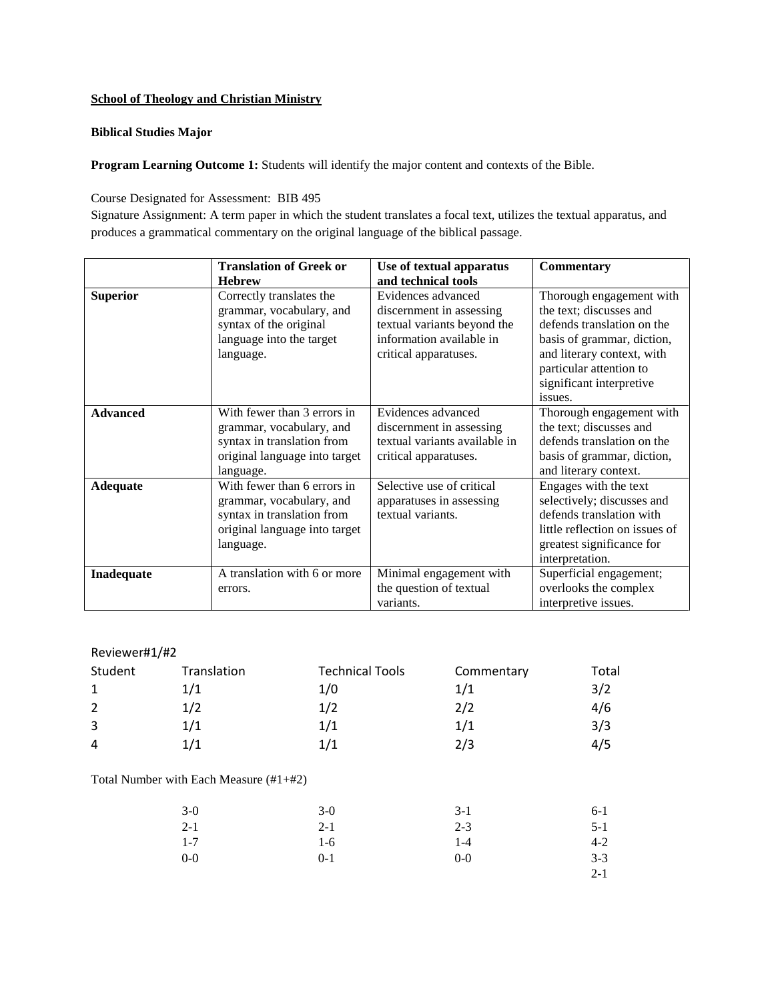## **School of Theology and Christian Ministry**

## **Biblical Studies Major**

Program Learning Outcome 1: Students will identify the major content and contexts of the Bible.

Course Designated for Assessment: BIB 495

Signature Assignment: A term paper in which the student translates a focal text, utilizes the textual apparatus, and produces a grammatical commentary on the original language of the biblical passage.

|                 | <b>Translation of Greek or</b>                                                                                                      | Use of textual apparatus                                                                                                           | <b>Commentary</b>                                                                                                                                                                                               |
|-----------------|-------------------------------------------------------------------------------------------------------------------------------------|------------------------------------------------------------------------------------------------------------------------------------|-----------------------------------------------------------------------------------------------------------------------------------------------------------------------------------------------------------------|
|                 | <b>Hebrew</b>                                                                                                                       | and technical tools                                                                                                                |                                                                                                                                                                                                                 |
| <b>Superior</b> | Correctly translates the<br>grammar, vocabulary, and<br>syntax of the original<br>language into the target<br>language.             | Evidences advanced<br>discernment in assessing<br>textual variants beyond the<br>information available in<br>critical apparatuses. | Thorough engagement with<br>the text; discusses and<br>defends translation on the<br>basis of grammar, diction,<br>and literary context, with<br>particular attention to<br>significant interpretive<br>issues. |
| <b>Advanced</b> | With fewer than 3 errors in<br>grammar, vocabulary, and<br>syntax in translation from<br>original language into target<br>language. | Evidences advanced<br>discernment in assessing<br>textual variants available in<br>critical apparatuses.                           | Thorough engagement with<br>the text; discusses and<br>defends translation on the<br>basis of grammar, diction,<br>and literary context.                                                                        |
| <b>Adequate</b> | With fewer than 6 errors in<br>grammar, vocabulary, and<br>syntax in translation from<br>original language into target<br>language. | Selective use of critical<br>apparatuses in assessing<br>textual variants.                                                         | Engages with the text<br>selectively; discusses and<br>defends translation with<br>little reflection on issues of<br>greatest significance for<br>interpretation.                                               |
| Inadequate      | A translation with 6 or more<br>errors.                                                                                             | Minimal engagement with<br>the question of textual<br>variants.                                                                    | Superficial engagement;<br>overlooks the complex<br>interpretive issues.                                                                                                                                        |

## Reviewer#1/#2

| Student | Translation | <b>Technical Tools</b> | Commentary | Total |
|---------|-------------|------------------------|------------|-------|
|         | 1/1         | 1/0                    | 1/1        | 3/2   |
| 2       | 1/2         | 1/2                    | 2/2        | 4/6   |
| 3       | 1/1         | 1/1                    | 1/1        | 3/3   |
| 4       | 1/1         | 1/1                    | 2/3        | 4/5   |

Total Number with Each Measure (#1+#2)

| $3-0$   | $3-0$   | $3-1$   | $6-1$   |
|---------|---------|---------|---------|
| $2 - 1$ | $2 - 1$ | $2 - 3$ | $5-1$   |
| $1 - 7$ | 1-6     | $1 - 4$ | $4 - 2$ |
| $0-0$   | $0 - 1$ | $0-0$   | $3 - 3$ |
|         |         |         | $2 - 1$ |